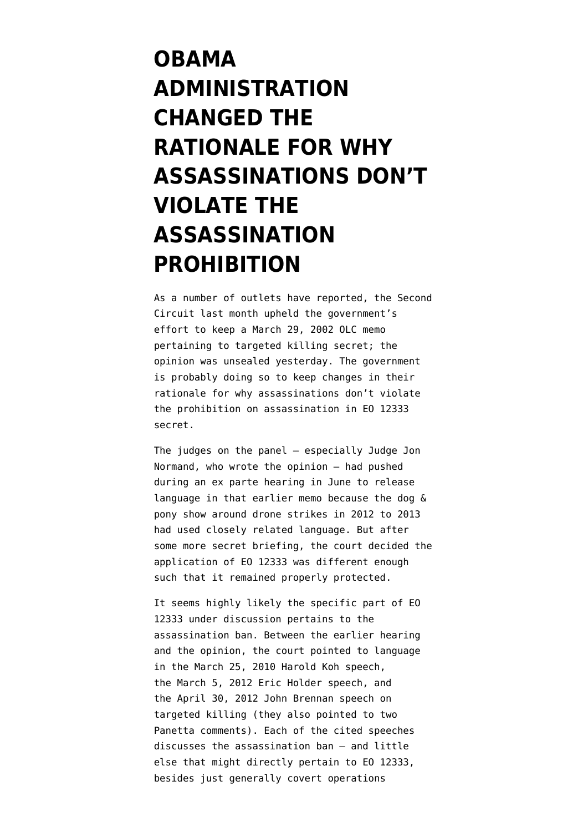## **[OBAMA](https://www.emptywheel.net/2015/11/24/obama-administration-changed-the-rationale-for-why-assassinations-dont-violate-the-assassination-prohibition/) [ADMINISTRATION](https://www.emptywheel.net/2015/11/24/obama-administration-changed-the-rationale-for-why-assassinations-dont-violate-the-assassination-prohibition/) [CHANGED THE](https://www.emptywheel.net/2015/11/24/obama-administration-changed-the-rationale-for-why-assassinations-dont-violate-the-assassination-prohibition/) [RATIONALE FOR WHY](https://www.emptywheel.net/2015/11/24/obama-administration-changed-the-rationale-for-why-assassinations-dont-violate-the-assassination-prohibition/) [ASSASSINATIONS DON'T](https://www.emptywheel.net/2015/11/24/obama-administration-changed-the-rationale-for-why-assassinations-dont-violate-the-assassination-prohibition/) [VIOLATE THE](https://www.emptywheel.net/2015/11/24/obama-administration-changed-the-rationale-for-why-assassinations-dont-violate-the-assassination-prohibition/) [ASSASSINATION](https://www.emptywheel.net/2015/11/24/obama-administration-changed-the-rationale-for-why-assassinations-dont-violate-the-assassination-prohibition/) [PROHIBITION](https://www.emptywheel.net/2015/11/24/obama-administration-changed-the-rationale-for-why-assassinations-dont-violate-the-assassination-prohibition/)**

As a number of outlets have reported, the Second Circuit last month [upheld](http://pdfserver.amlaw.com/nlj/NYT.ACLU_ca2_20151123.pdf) the government's effort to keep a March 29, 2002 OLC memo pertaining to targeted killing secret; the opinion was unsealed yesterday. The government is probably doing so to keep changes in their rationale for why assassinations don't violate the prohibition on assassination in EO 12333 secret.

The judges on the panel — especially Judge Jon Normand, who wrote the opinion — had pushed during an [ex parte hearing in June](https://www.aclu.org/sites/default/files/field_document/transcript-_expartehearing-2ndcircuit20150706.pdf) to release language in that earlier memo because the dog & pony show around drone strikes in 2012 to 2013 had used closely related language. But after some more secret briefing, the court decided the application of EO 12333 was different enough such that it remained properly protected.

It seems highly likely the specific part of EO 12333 under discussion pertains to the assassination ban. Between the earlier hearing and the opinion, the court pointed to language in the [March 25, 2010 Harold Koh speech,](http://www.state.gov/s/l/releases/remarks/139119.htm) the [March 5, 2012 Eric Holder speech](http://www.justice.gov/opa/speech/attorney-general-eric-holder-speaks-northwestern-university-school-law), and the [April 30, 2012 John Brennan speech](https://www.lawfareblog.com/text-john-brennans-speech-drone-strikes-today-wilson-center) on targeted killing (they also pointed to two Panetta comments). Each of the cited speeches discusses the assassination ban — and little else that might directly pertain to EO 12333, besides just generally covert operations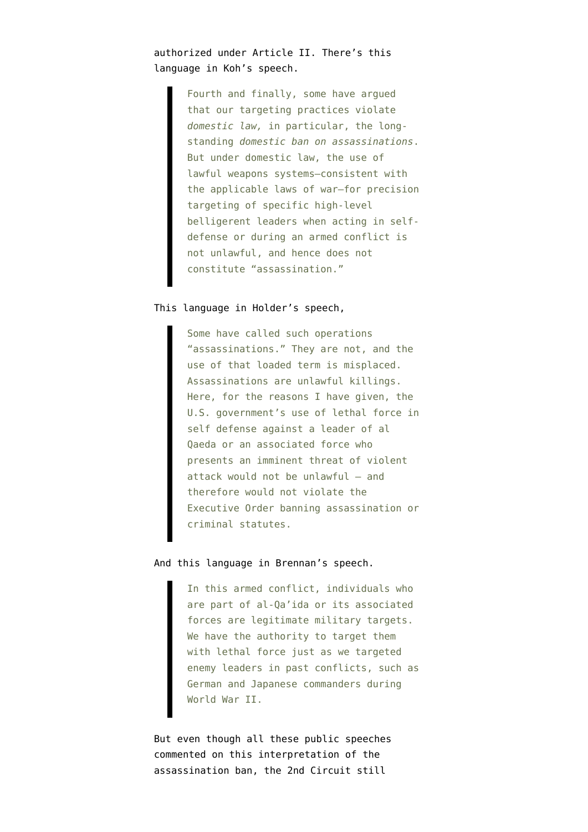authorized under Article II. There's this language in Koh's speech.

> Fourth and finally, some have argued that our targeting practices violate *domestic law,* in particular, the longstanding *domestic ban on assassinations*. But under domestic law, the use of lawful weapons systems—consistent with the applicable laws of war—for precision targeting of specific high-level belligerent leaders when acting in selfdefense or during an armed conflict is not unlawful, and hence does not constitute "assassination."

## This language in Holder's speech,

Some have called such operations "assassinations." They are not, and the use of that loaded term is misplaced. Assassinations are unlawful killings. Here, for the reasons I have given, the U.S. government's use of lethal force in self defense against a leader of al Qaeda or an associated force who presents an imminent threat of violent attack would not be unlawful — and therefore would not violate the Executive Order banning assassination or criminal statutes.

## And this language in Brennan's speech.

In this armed conflict, individuals who are part of al-Qa'ida or its associated forces are legitimate military targets. We have the authority to target them with lethal force just as we targeted enemy leaders in past conflicts, such as German and Japanese commanders during World War II.

But even though all these public speeches commented on this interpretation of the assassination ban, the 2nd Circuit still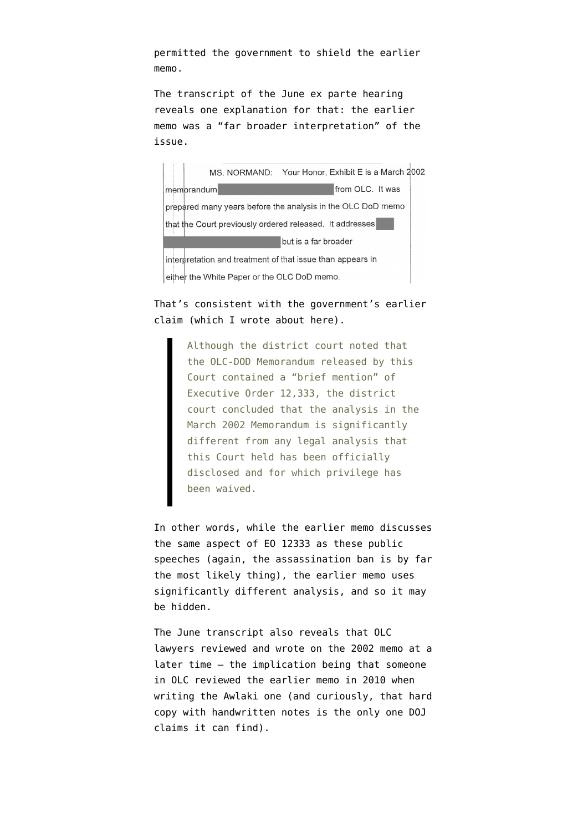permitted the government to shield the earlier memo.

[The transcript](https://www.aclu.org/sites/default/files/field_document/transcript-_expartehearing-2ndcircuit20150706.pdf) of the June ex parte hearing reveals one explanation for that: the earlier memo was a "far broader interpretation" of the issue.

MS. NORMAND: Your Honor, Exhibit E is a March 2002 memorandum **Example 2016** From OLC. It was prepared many years before the analysis in the OLC DoD memo that the Court previously ordered released. It addresses **Example 1** but is a far broader interpretation and treatment of that issue than appears in either the White Paper or the OLC DoD memo.

## That's consistent with the government's earlier [claim](https://www.aclu.org/sites/default/files/assets/tk_foia_govt_opposition_brief.pdf) (which I wrote about [here\)](https://www.emptywheel.net/2015/04/09/governments-assassination-of-anwar-al-awlaki-used-substantially-different-eo-12333-analysis/).

Although the district court noted that the OLC-DOD Memorandum released by this Court contained a "brief mention" of Executive Order 12,333, the district court concluded that the analysis in the March 2002 Memorandum is significantly different from any legal analysis that this Court held has been officially disclosed and for which privilege has been waived.

In other words, while the earlier memo discusses the same aspect of EO 12333 as these public speeches (again, the assassination ban is by far the most likely thing), the earlier memo uses significantly different analysis, and so it may be hidden.

The June transcript also reveals that OLC lawyers reviewed and wrote on the 2002 memo at a later time — the implication being that someone in OLC reviewed the earlier memo in 2010 when writing the Awlaki one (and curiously, that hard copy with handwritten notes is the only one DOJ claims it can find).